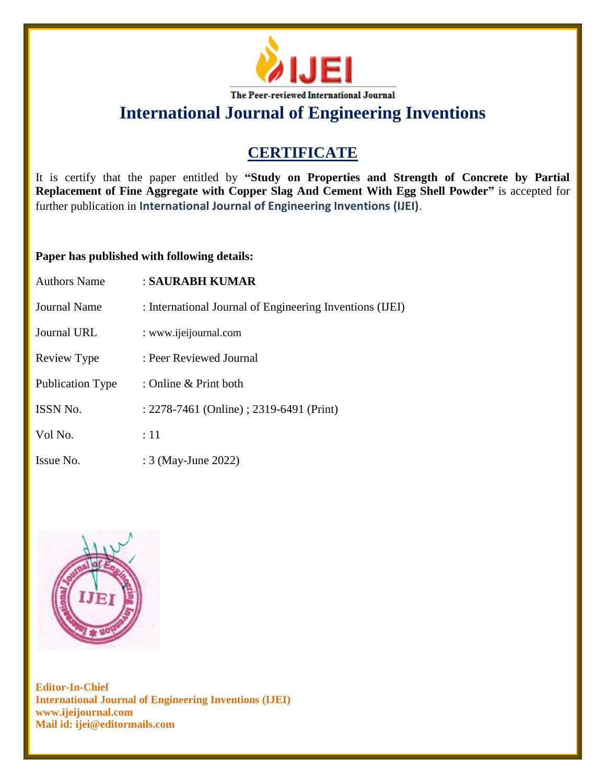

**International Journal of Engineering Inventions**

## **CERTIFICATE**

It is certify that the paper entitled by **"Study on Properties and Strength of Concrete by Partial Replacement of Fine Aggregate with Copper Slag And Cement With Egg Shell Powder"** is accepted for further publication in **International Journal of Engineering Inventions (IJEI)**.

## **Paper has published with following details:**

| <b>Authors Name</b>     | : SAURABH KUMAR                                          |
|-------------------------|----------------------------------------------------------|
| Journal Name            | : International Journal of Engineering Inventions (IJEI) |
| Journal URL             | : www.ijeijournal.com                                    |
| Review Type             | : Peer Reviewed Journal                                  |
| <b>Publication Type</b> | : Online & Print both                                    |
| <b>ISSN No.</b>         | : 2278-7461 (Online) ; 2319-6491 (Print)                 |
| Vol No.                 | $\div 11$                                                |
| Issue No.               | : 3 (May-June 2022)                                      |



**Editor-In-Chief International Journal of Engineering Inventions (IJEI) www.ijeijournal.com Mail id: ijei@editormails.com**